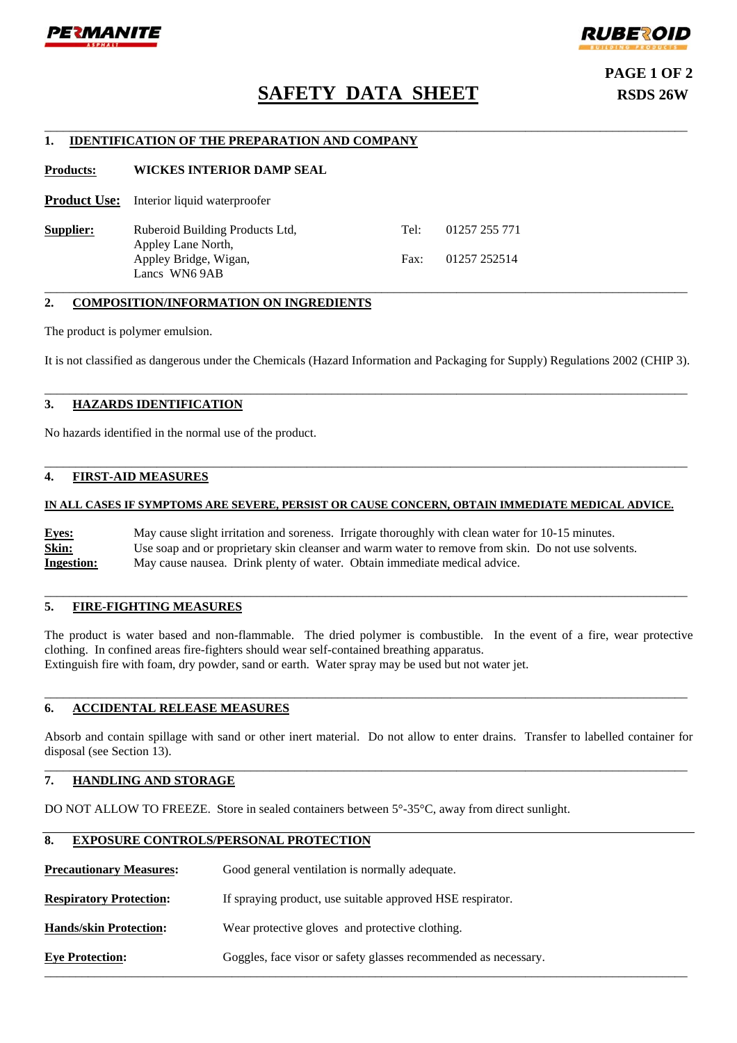



# **SAFETY DATA SHEET RSDS 26W**

\_\_\_\_\_\_\_\_\_\_\_\_\_\_\_\_\_\_\_\_\_\_\_\_\_\_\_\_\_\_\_\_\_\_\_\_\_\_\_\_\_\_\_\_\_\_\_\_\_\_\_\_\_\_\_\_\_\_\_\_\_\_\_\_\_\_\_\_\_\_\_\_\_\_\_\_\_\_\_\_\_\_\_\_\_\_\_\_\_\_\_\_\_\_\_\_\_\_\_\_\_\_\_

**PAGE 1 OF 2** 

# **1. IDENTIFICATION OF THE PREPARATION AND COMPANY**

**Products: WICKES INTERIOR DAMP SEAL** 

**Product Use:** Interior liquid waterproofer

**Supplier:** Ruberoid Building Products Ltd, Tel: 01257 255 771 Appley Lane North, Appley Bridge, Wigan, Fax: 01257 252514 Lancs WN6 9AB

# **2. COMPOSITION/INFORMATION ON INGREDIENTS**

The product is polymer emulsion.

It is not classified as dangerous under the Chemicals (Hazard Information and Packaging for Supply) Regulations 2002 (CHIP 3).

\_\_\_\_\_\_\_\_\_\_\_\_\_\_\_\_\_\_\_\_\_\_\_\_\_\_\_\_\_\_\_\_\_\_\_\_\_\_\_\_\_\_\_\_\_\_\_\_\_\_\_\_\_\_\_\_\_\_\_\_\_\_\_\_\_\_\_\_\_\_\_\_\_\_\_\_\_\_\_\_\_\_\_\_\_\_\_\_\_\_\_\_\_\_\_\_\_\_\_\_\_\_\_

\_\_\_\_\_\_\_\_\_\_\_\_\_\_\_\_\_\_\_\_\_\_\_\_\_\_\_\_\_\_\_\_\_\_\_\_\_\_\_\_\_\_\_\_\_\_\_\_\_\_\_\_\_\_\_\_\_\_\_\_\_\_\_\_\_\_\_\_\_\_\_\_\_\_\_\_\_\_\_\_\_\_\_\_\_\_\_\_\_\_\_\_\_\_\_\_\_\_\_\_\_\_\_

\_\_\_\_\_\_\_\_\_\_\_\_\_\_\_\_\_\_\_\_\_\_\_\_\_\_\_\_\_\_\_\_\_\_\_\_\_\_\_\_\_\_\_\_\_\_\_\_\_\_\_\_\_\_\_\_\_\_\_\_\_\_\_\_\_\_\_\_\_\_\_\_\_\_\_\_\_\_\_\_\_\_\_\_\_\_\_\_\_\_\_\_\_\_\_\_\_\_\_\_\_\_\_

# **3. HAZARDS IDENTIFICATION**

No hazards identified in the normal use of the product.

## **4. FIRST-AID MEASURES**

## **IN ALL CASES IF SYMPTOMS ARE SEVERE, PERSIST OR CAUSE CONCERN, OBTAIN IMMEDIATE MEDICAL ADVICE.**

**Eyes:** May cause slight irritation and soreness. Irrigate thoroughly with clean water for 10-15 minutes. Skin: Use soap and or proprietary skin cleanser and warm water to remove from skin. Do not use solvents. **Ingestion:** May cause nausea. Drink plenty of water. Obtain immediate medical advice.

# **5. FIRE-FIGHTING MEASURES**

The product is water based and non-flammable. The dried polymer is combustible. In the event of a fire, wear protective clothing. In confined areas fire-fighters should wear self-contained breathing apparatus. Extinguish fire with foam, dry powder, sand or earth. Water spray may be used but not water jet.

\_\_\_\_\_\_\_\_\_\_\_\_\_\_\_\_\_\_\_\_\_\_\_\_\_\_\_\_\_\_\_\_\_\_\_\_\_\_\_\_\_\_\_\_\_\_\_\_\_\_\_\_\_\_\_\_\_\_\_\_\_\_\_\_\_\_\_\_\_\_\_\_\_\_\_\_\_\_\_\_\_\_\_\_\_\_\_\_\_\_\_\_\_\_\_\_\_\_\_\_\_\_\_

\_\_\_\_\_\_\_\_\_\_\_\_\_\_\_\_\_\_\_\_\_\_\_\_\_\_\_\_\_\_\_\_\_\_\_\_\_\_\_\_\_\_\_\_\_\_\_\_\_\_\_\_\_\_\_\_\_\_\_\_\_\_\_\_\_\_\_\_\_\_\_\_\_\_\_\_\_\_\_\_\_\_\_\_\_\_\_\_\_\_\_\_\_\_\_\_\_\_\_\_\_\_\_

# **6. ACCIDENTAL RELEASE MEASURES**

Absorb and contain spillage with sand or other inert material. Do not allow to enter drains. Transfer to labelled container for disposal (see Section 13). \_\_\_\_\_\_\_\_\_\_\_\_\_\_\_\_\_\_\_\_\_\_\_\_\_\_\_\_\_\_\_\_\_\_\_\_\_\_\_\_\_\_\_\_\_\_\_\_\_\_\_\_\_\_\_\_\_\_\_\_\_\_\_\_\_\_\_\_\_\_\_\_\_\_\_\_\_\_\_\_\_\_\_\_\_\_\_\_\_\_\_\_\_\_\_\_\_\_\_\_\_\_\_

\_\_\_\_\_\_\_\_\_\_\_\_\_\_\_\_\_\_\_\_\_\_\_\_\_\_\_\_\_\_\_\_\_\_\_\_\_\_\_\_\_\_\_\_\_\_\_\_\_\_\_\_\_\_\_\_\_\_\_\_\_\_\_\_\_\_\_\_\_\_\_\_\_\_\_\_\_\_\_\_\_\_\_\_\_\_\_\_\_\_\_\_\_\_\_\_\_\_\_\_\_\_\_

# **7. HANDLING AND STORAGE**

DO NOT ALLOW TO FREEZE. Store in sealed containers between  $5^{\circ}$ -35<sup>o</sup>C, away from direct sunlight.

## **8. EXPOSURE CONTROLS/PERSONAL PROTECTION**

**Precautionary Measures:** Good general ventilation is normally adequate.

**Respiratory Protection:** If spraying product, use suitable approved HSE respirator.

**Hands/skin Protection:** Wear protective gloves and protective clothing.

**Eye Protection:** Goggles, face visor or safety glasses recommended as necessary.